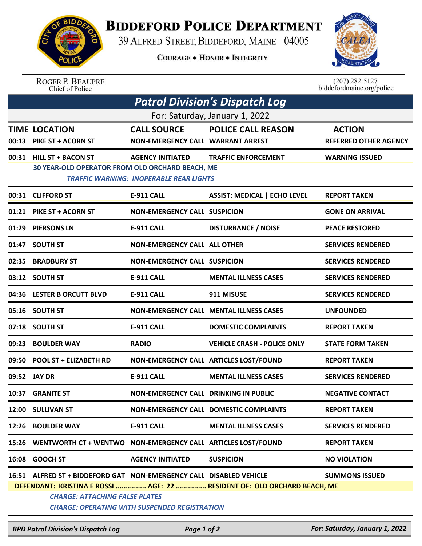

## **BIDDEFORD POLICE DEPARTMENT**

39 ALFRED STREET, BIDDEFORD, MAINE 04005

**COURAGE . HONOR . INTEGRITY** 



ROGER P. BEAUPRE<br>Chief of Police

 $(207)$  282-5127<br>biddefordmaine.org/police

| Patrol Division's Dispatch Log |                                                                                                              |                                                                           |                                                                          |                                               |  |  |  |
|--------------------------------|--------------------------------------------------------------------------------------------------------------|---------------------------------------------------------------------------|--------------------------------------------------------------------------|-----------------------------------------------|--|--|--|
| For: Saturday, January 1, 2022 |                                                                                                              |                                                                           |                                                                          |                                               |  |  |  |
|                                | <b>TIME LOCATION</b><br>00:13 PIKE ST + ACORN ST                                                             | <b>CALL SOURCE</b><br>NON-EMERGENCY CALL WARRANT ARREST                   | <b>POLICE CALL REASON</b>                                                | <b>ACTION</b><br><b>REFERRED OTHER AGENCY</b> |  |  |  |
|                                | 00:31 HILL ST + BACON ST<br>30 YEAR-OLD OPERATOR FROM OLD ORCHARD BEACH, ME                                  | <b>AGENCY INITIATED</b><br><b>TRAFFIC WARNING: INOPERABLE REAR LIGHTS</b> | <b>TRAFFIC ENFORCEMENT</b>                                               | <b>WARNING ISSUED</b>                         |  |  |  |
|                                | 00:31 CLIFFORD ST                                                                                            | <b>E-911 CALL</b>                                                         | <b>ASSIST: MEDICAL   ECHO LEVEL</b>                                      | <b>REPORT TAKEN</b>                           |  |  |  |
|                                | 01:21 PIKE ST + ACORN ST                                                                                     | <b>NON-EMERGENCY CALL SUSPICION</b>                                       |                                                                          | <b>GONE ON ARRIVAL</b>                        |  |  |  |
|                                | 01:29 PIERSONS LN                                                                                            | <b>E-911 CALL</b>                                                         | <b>DISTURBANCE / NOISE</b>                                               | <b>PEACE RESTORED</b>                         |  |  |  |
|                                | 01:47 SOUTH ST                                                                                               | <b>NON-EMERGENCY CALL ALL OTHER</b>                                       |                                                                          | <b>SERVICES RENDERED</b>                      |  |  |  |
|                                | 02:35 BRADBURY ST                                                                                            | <b>NON-EMERGENCY CALL SUSPICION</b>                                       |                                                                          | <b>SERVICES RENDERED</b>                      |  |  |  |
|                                | 03:12 SOUTH ST                                                                                               | <b>E-911 CALL</b>                                                         | <b>MENTAL ILLNESS CASES</b>                                              | <b>SERVICES RENDERED</b>                      |  |  |  |
|                                | 04:36 LESTER B ORCUTT BLVD                                                                                   | E-911 CALL                                                                | 911 MISUSE                                                               | <b>SERVICES RENDERED</b>                      |  |  |  |
|                                | 05:16 SOUTH ST                                                                                               |                                                                           | NON-EMERGENCY CALL MENTAL ILLNESS CASES                                  | <b>UNFOUNDED</b>                              |  |  |  |
|                                | 07:18 SOUTH ST                                                                                               | <b>E-911 CALL</b>                                                         | <b>DOMESTIC COMPLAINTS</b>                                               | <b>REPORT TAKEN</b>                           |  |  |  |
| 09:23                          | <b>BOULDER WAY</b>                                                                                           | <b>RADIO</b>                                                              | <b>VEHICLE CRASH - POLICE ONLY</b>                                       | <b>STATE FORM TAKEN</b>                       |  |  |  |
|                                | 09:50 POOL ST + ELIZABETH RD                                                                                 |                                                                           | NON-EMERGENCY CALL ARTICLES LOST/FOUND                                   | <b>REPORT TAKEN</b>                           |  |  |  |
|                                | 09:52 JAY DR                                                                                                 | <b>E-911 CALL</b>                                                         | <b>MENTAL ILLNESS CASES</b>                                              | <b>SERVICES RENDERED</b>                      |  |  |  |
| 10:37                          | <b>GRANITE ST</b>                                                                                            | <b>NON-EMERGENCY CALL DRINKING IN PUBLIC</b>                              |                                                                          | <b>NEGATIVE CONTACT</b>                       |  |  |  |
|                                | 12:00 SULLIVAN ST                                                                                            |                                                                           | NON-EMERGENCY CALL DOMESTIC COMPLAINTS                                   | <b>REPORT TAKEN</b>                           |  |  |  |
|                                | 12:26 BOULDER WAY                                                                                            | <b>E-911 CALL</b>                                                         | <b>MENTAL ILLNESS CASES</b>                                              | <b>SERVICES RENDERED</b>                      |  |  |  |
|                                | 15:26 WENTWORTH CT + WENTWO NON-EMERGENCY CALL ARTICLES LOST/FOUND                                           |                                                                           |                                                                          | <b>REPORT TAKEN</b>                           |  |  |  |
|                                | 16:08 GOOCH ST                                                                                               | <b>AGENCY INITIATED</b>                                                   | <b>SUSPICION</b>                                                         | <b>NO VIOLATION</b>                           |  |  |  |
|                                | 16:51 ALFRED ST + BIDDEFORD GAT NON-EMERGENCY CALL DISABLED VEHICLE<br><b>CHARGE: ATTACHING FALSE PLATES</b> | <b>CHARGE: OPERATING WITH SUSPENDED REGISTRATION</b>                      | DEFENDANT: KRISTINA E ROSSI  AGE: 22  RESIDENT OF: OLD ORCHARD BEACH, ME | <b>SUMMONS ISSUED</b>                         |  |  |  |

*BPD Patrol Division's Dispatch Log Page 1 of 2 For: Saturday, January 1, 2022*